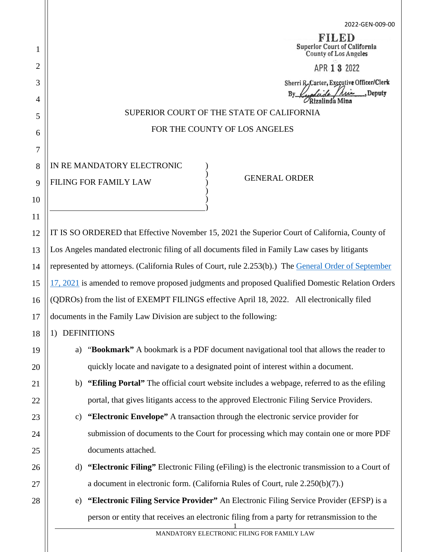2022-GEN-009-00 FILED **Superior Court of California County of Los Angeles** APR 1 3 2022 Sherri R, Carter, Executive Officer/Clerk Deputy Rizalinda Mina SUPERIOR COURT OF THE STATE OF CALIFORNIA FOR THE COUNTY OF LOS ANGELES IN RE MANDATORY ELECTRONIC ) ) GENERAL ORDER FILING FOR FAMILY LAW ) ) ) ) IT IS SO ORDERED that Effective November 15, 2021 the Superior Court of California, County of Los Angeles mandated electronic filing of all documents filed in Family Law cases by litigants represented by attorneys. (California Rules of Court, rule 2.253(b).) The [General Order of September](https://www.lacourt.org/division/efiling/pdf/2021-GEN-032-00FamilyLawEfiling091721.pdf)  [17, 2021](https://www.lacourt.org/division/efiling/pdf/2021-GEN-032-00FamilyLawEfiling091721.pdf) is amended to remove proposed judgments and proposed Qualified Domestic Relation Orders (QDROs) from the list of EXEMPT FILINGS effective April 18, 2022. All electronically filed documents in the Family Law Division are subject to the following: 1) DEFINITIONS a) "**Bookmark"** A bookmark is a PDF document navigational tool that allows the reader to quickly locate and navigate to a designated point of interest within a document. b) **"Efiling Portal"** The official court website includes a webpage, referred to as the efiling portal, that gives litigants access to the approved Electronic Filing Service Providers. c) **"Electronic Envelope"** A transaction through the electronic service provider for submission of documents to the Court for processing which may contain one or more PDF documents attached. d) **"Electronic Filing"** Electronic Filing (eFiling) is the electronic transmission to a Court of a document in electronic form. (California Rules of Court, rule 2.250(b)(7).) e) **"Electronic Filing Service Provider"** An Electronic Filing Service Provider (EFSP) is a person or entity that receives an electronic filing from a party for retransmission to the 1

1

2

3

4

5

6

7

8

9

10

11

12

13

14

15

16

17

18

19

20

21

22

23

24

25

26

27

28

MANDATORY ELECTRONIC FILING FOR FAMILY LAW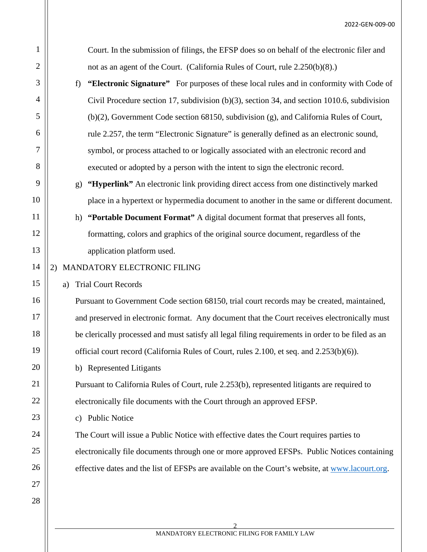| $\mathbf{1}$   | Court. In the submission of filings, the EFSP does so on behalf of the electronic filer and       |  |  |  |
|----------------|---------------------------------------------------------------------------------------------------|--|--|--|
| $\overline{2}$ | not as an agent of the Court. (California Rules of Court, rule 2.250(b)(8).)                      |  |  |  |
| 3              | "Electronic Signature" For purposes of these local rules and in conformity with Code of<br>f)     |  |  |  |
| 4              | Civil Procedure section 17, subdivision $(b)(3)$ , section 34, and section 1010.6, subdivision    |  |  |  |
| 5              | $(b)(2)$ , Government Code section 68150, subdivision (g), and California Rules of Court,         |  |  |  |
| 6              | rule 2.257, the term "Electronic Signature" is generally defined as an electronic sound,          |  |  |  |
| 7              | symbol, or process attached to or logically associated with an electronic record and              |  |  |  |
| 8              | executed or adopted by a person with the intent to sign the electronic record.                    |  |  |  |
| 9              | "Hyperlink" An electronic link providing direct access from one distinctively marked<br>g)        |  |  |  |
| 10             | place in a hypertext or hypermedia document to another in the same or different document.         |  |  |  |
| 11             | "Portable Document Format" A digital document format that preserves all fonts,<br>h)              |  |  |  |
| 12             | formatting, colors and graphics of the original source document, regardless of the                |  |  |  |
| 13             | application platform used.                                                                        |  |  |  |
| 14             | MANDATORY ELECTRONIC FILING<br>2)                                                                 |  |  |  |
| 15             | <b>Trial Court Records</b><br>a)                                                                  |  |  |  |
| 16             | Pursuant to Government Code section 68150, trial court records may be created, maintained,        |  |  |  |
| 17             | and preserved in electronic format. Any document that the Court receives electronically must      |  |  |  |
| 18             | be clerically processed and must satisfy all legal filing requirements in order to be filed as an |  |  |  |
| 19             | official court record (California Rules of Court, rules 2.100, et seq. and 2.253(b)(6)).          |  |  |  |
| 20             | b) Represented Litigants                                                                          |  |  |  |
| 21             | Pursuant to California Rules of Court, rule 2.253(b), represented litigants are required to       |  |  |  |
| 22             | electronically file documents with the Court through an approved EFSP.                            |  |  |  |
| 23             | <b>Public Notice</b><br>C)                                                                        |  |  |  |
| 24             | The Court will issue a Public Notice with effective dates the Court requires parties to           |  |  |  |
| 25             | electronically file documents through one or more approved EFSPs. Public Notices containing       |  |  |  |
| 26             | effective dates and the list of EFSPs are available on the Court's website, at www.lacourt.org.   |  |  |  |
| 27             |                                                                                                   |  |  |  |
| 28             |                                                                                                   |  |  |  |

 $\mathcal{P}$ MANDATORY ELECTRONIC FILING FOR FAMILY LAW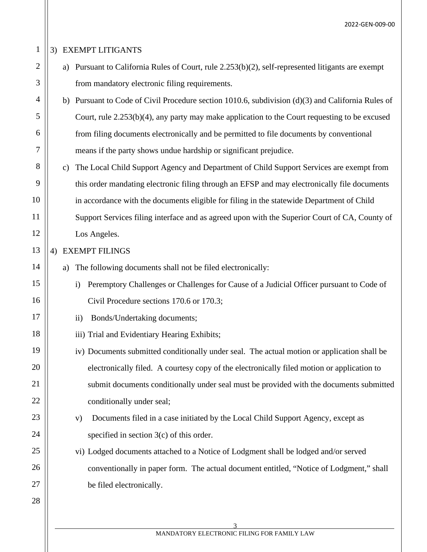### 3) EXEMPT LITIGANTS

- a) Pursuant to California Rules of Court, rule 2.253(b)(2), self-represented litigants are exempt from mandatory electronic filing requirements.
- b) Pursuant to Code of Civil Procedure section 1010.6, subdivision (d)(3) and California Rules of Court, rule 2.253(b)(4), any party may make application to the Court requesting to be excused from filing documents electronically and be permitted to file documents by conventional means if the party shows undue hardship or significant prejudice.
- 8 9 10 11 12 c) The Local Child Support Agency and Department of Child Support Services are exempt from this order mandating electronic filing through an EFSP and may electronically file documents in accordance with the documents eligible for filing in the statewide Department of Child Support Services filing interface and as agreed upon with the Superior Court of CA, County of Los Angeles.

#### 4) EXEMPT FILINGS

- a) The following documents shall not be filed electronically:
	- i) Peremptory Challenges or Challenges for Cause of a Judicial Officer pursuant to Code of Civil Procedure sections 170.6 or 170.3;
- ii) Bonds/Undertaking documents;
	- iii) Trial and Evidentiary Hearing Exhibits;
- iv) Documents submitted conditionally under seal. The actual motion or application shall be electronically filed. A courtesy copy of the electronically filed motion or application to submit documents conditionally under seal must be provided with the documents submitted conditionally under seal;
	- v) Documents filed in a case initiated by the Local Child Support Agency, except as specified in section 3(c) of this order.
	- vi) Lodged documents attached to a Notice of Lodgment shall be lodged and/or served conventionally in paper form. The actual document entitled, "Notice of Lodgment," shall be filed electronically.

1

2

3

4

5

6

7

13

14

15

16

17

18

19

20

21

22

23

24

25

26

27

28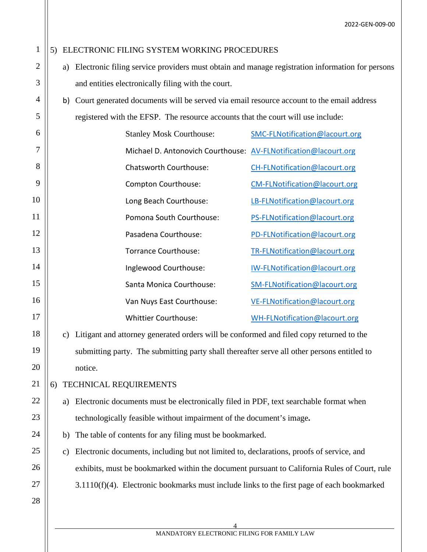#### 5) ELECTRONIC FILING SYSTEM WORKING PROCEDURES

- a) Electronic filing service providers must obtain and manage registration information for persons and entities electronically filing with the court.
- b) Court generated documents will be served via email resource account to the email address registered with the EFSP. The resource accounts that the court will use include:

| 6              | <b>Stanley Mosk Courthouse:</b>                                 | SMC-FLNotification@lacourt.org |
|----------------|-----------------------------------------------------------------|--------------------------------|
| 7              | Michael D. Antonovich Courthouse: AV-FLNotification@lacourt.org |                                |
| 8              | Chatsworth Courthouse:                                          | CH-FLNotification@lacourt.org  |
| 9              | Compton Courthouse:                                             | CM-FLNotification@lacourt.org  |
| $\overline{0}$ | Long Beach Courthouse:                                          | LB-FLNotification@lacourt.org  |
| $\overline{1}$ | Pomona South Courthouse:                                        | PS-FLNotification@lacourt.org  |
| $\overline{2}$ | Pasadena Courthouse:                                            | PD-FLNotification@lacourt.org  |
| 3              | Torrance Courthouse:                                            | TR-FLNotification@lacourt.org  |
| $\overline{A}$ | Inglewood Courthouse:                                           | IW-FLNotification@lacourt.org  |
| $\overline{5}$ | Santa Monica Courthouse:                                        | SM-FLNotification@lacourt.org  |
| 6              | Van Nuys East Courthouse:                                       | VE-FLNotification@lacourt.org  |
| $\overline{7}$ | <b>Whittier Courthouse:</b>                                     | WH-FLNotification@lacourt.org  |

c) Litigant and attorney generated orders will be conformed and filed copy returned to the submitting party. The submitting party shall thereafter serve all other persons entitled to notice.

#### 6) TECHNICAL REQUIREMENTS

- a) Electronic documents must be electronically filed in PDF, text searchable format when technologically feasible without impairment of the document's image**.**
- b) The table of contents for any filing must be bookmarked.
- c) Electronic documents, including but not limited to, declarations, proofs of service, and exhibits, must be bookmarked within the document pursuant to California Rules of Court, rule 3.1110(f)(4). Electronic bookmarks must include links to the first page of each bookmarked
- 28

27

26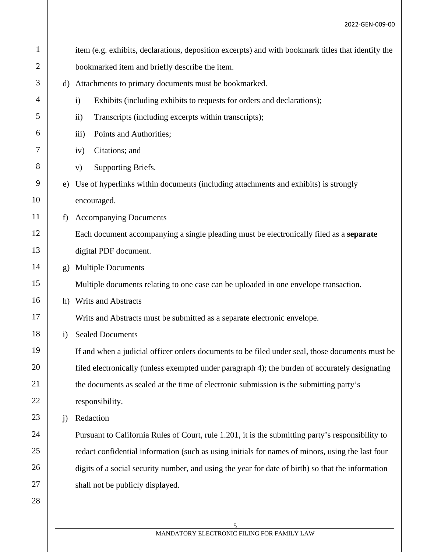| $\mathbf{1}$ |              | item (e.g. exhibits, declarations, deposition excerpts) and with bookmark titles that identify the |  |  |
|--------------|--------------|----------------------------------------------------------------------------------------------------|--|--|
| 2            |              | bookmarked item and briefly describe the item.                                                     |  |  |
| 3            | d)           | Attachments to primary documents must be bookmarked.                                               |  |  |
| 4            |              | Exhibits (including exhibits to requests for orders and declarations);<br>$\mathbf{i}$             |  |  |
| 5            |              | Transcripts (including excerpts within transcripts);<br>$\rm ii)$                                  |  |  |
| 6            |              | Points and Authorities;<br>$\overline{iii}$ )                                                      |  |  |
| 7            |              | Citations; and<br>iv)                                                                              |  |  |
| 8            |              | Supporting Briefs.<br>V)                                                                           |  |  |
| 9            | e)           | Use of hyperlinks within documents (including attachments and exhibits) is strongly                |  |  |
| 10           |              | encouraged.                                                                                        |  |  |
| 11           | f)           | <b>Accompanying Documents</b>                                                                      |  |  |
| 12           |              | Each document accompanying a single pleading must be electronically filed as a separate            |  |  |
| 13           |              | digital PDF document.                                                                              |  |  |
| 14           | g)           | <b>Multiple Documents</b>                                                                          |  |  |
| 15           |              | Multiple documents relating to one case can be uploaded in one envelope transaction.               |  |  |
| 16           |              | h) Writs and Abstracts                                                                             |  |  |
| 17           |              | Writs and Abstracts must be submitted as a separate electronic envelope.                           |  |  |
| 18           | $\mathbf{i}$ | <b>Sealed Documents</b>                                                                            |  |  |
| 19           |              | If and when a judicial officer orders documents to be filed under seal, those documents must be    |  |  |
| 20           |              | filed electronically (unless exempted under paragraph 4); the burden of accurately designating     |  |  |
| 21           |              | the documents as sealed at the time of electronic submission is the submitting party's             |  |  |
| 22           |              | responsibility.                                                                                    |  |  |
| 23           | j)           | Redaction                                                                                          |  |  |
| 24           |              | Pursuant to California Rules of Court, rule 1.201, it is the submitting party's responsibility to  |  |  |
| 25           |              | redact confidential information (such as using initials for names of minors, using the last four   |  |  |
| 26           |              | digits of a social security number, and using the year for date of birth) so that the information  |  |  |
| 27           |              | shall not be publicly displayed.                                                                   |  |  |
| 28           |              |                                                                                                    |  |  |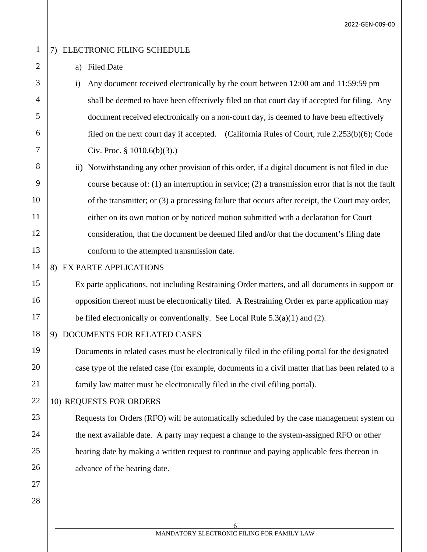2022-GEN-009-00

## 1

2

3

4

5

6

7

8

9

10

11

12

13

14

15

16

17

19

20

21

22

23

24

25

26

27

28

#### 7) ELECTRONIC FILING SCHEDULE

#### a) Filed Date

i) Any document received electronically by the court between 12:00 am and 11:59:59 pm shall be deemed to have been effectively filed on that court day if accepted for filing. Any document received electronically on a non-court day, is deemed to have been effectively filed on the next court day if accepted. (California Rules of Court, rule 2.253(b)(6); Code Civ. Proc. § 1010.6(b)(3).)

# ii) Notwithstanding any other provision of this order, if a digital document is not filed in due course because of: (1) an interruption in service; (2) a transmission error that is not the fault of the transmitter; or (3) a processing failure that occurs after receipt, the Court may order, either on its own motion or by noticed motion submitted with a declaration for Court consideration, that the document be deemed filed and/or that the document's filing date conform to the attempted transmission date.

#### 8) EX PARTE APPLICATIONS

Ex parte applications, not including Restraining Order matters, and all documents in support or opposition thereof must be electronically filed. A Restraining Order ex parte application may be filed electronically or conventionally. See Local Rule  $5.3(a)(1)$  and  $(2)$ .

#### 18 9) DOCUMENTS FOR RELATED CASES

Documents in related cases must be electronically filed in the efiling portal for the designated case type of the related case (for example, documents in a civil matter that has been related to a family law matter must be electronically filed in the civil efiling portal).

#### 10) REQUESTS FOR ORDERS

Requests for Orders (RFO) will be automatically scheduled by the case management system on the next available date. A party may request a change to the system-assigned RFO or other hearing date by making a written request to continue and paying applicable fees thereon in advance of the hearing date.